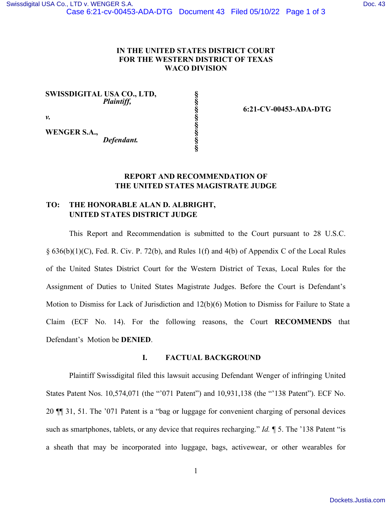## **IN THE UNITED STATES DISTRICT COURT FOR THE WESTERN DISTRICT OF TEXAS WACO DIVISION**

**§ § § § § § § §**

**SWISSDIGITAL USA CO., LTD,** *Plaintiff,*

**6:21-CV-00453-ADA-DTG**

**WENGER S.A.,**

*v.*

*Defendant.* 

# **REPORT AND RECOMMENDATION OF THE UNITED STATES MAGISTRATE JUDGE**

# **TO: THE HONORABLE ALAN D. ALBRIGHT, UNITED STATES DISTRICT JUDGE**

This Report and Recommendation is submitted to the Court pursuant to 28 U.S.C. § 636(b)(1)(C), Fed. R. Civ. P. 72(b), and Rules 1(f) and 4(b) of Appendix C of the Local Rules of the United States District Court for the Western District of Texas, Local Rules for the Assignment of Duties to United States Magistrate Judges. Before the Court is Defendant's Motion to Dismiss for Lack of Jurisdiction and 12(b)(6) Motion to Dismiss for Failure to State a Claim (ECF No. 14). For the following reasons, the Court **RECOMMENDS** that Defendant's Motion be **DENIED**.

## **I. FACTUAL BACKGROUND**

Plaintiff Swissdigital filed this lawsuit accusing Defendant Wenger of infringing United States Patent Nos. 10,574,071 (the "'071 Patent") and 10,931,138 (the "'138 Patent"). ECF No. 20 ¶¶ 31, 51. The '071 Patent is a "bag or luggage for convenient charging of personal devices such as smartphones, tablets, or any device that requires recharging." *Id.* ¶ 5. The '138 Patent "is a sheath that may be incorporated into luggage, bags, activewear, or other wearables for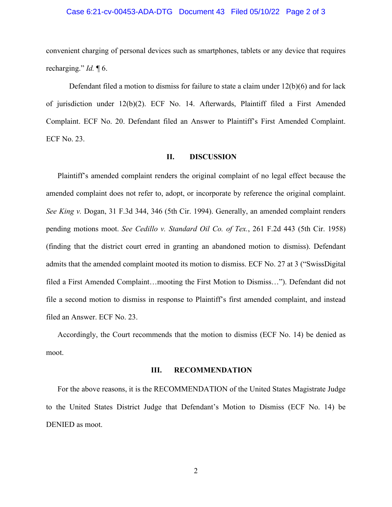### Case 6:21-cv-00453-ADA-DTG Document 43 Filed 05/10/22 Page 2 of 3

convenient charging of personal devices such as smartphones, tablets or any device that requires recharging." *Id.* ¶ 6.

Defendant filed a motion to dismiss for failure to state a claim under 12(b)(6) and for lack of jurisdiction under 12(b)(2). ECF No. 14. Afterwards, Plaintiff filed a First Amended Complaint. ECF No. 20. Defendant filed an Answer to Plaintiff's First Amended Complaint. ECF No. 23.

#### **II. DISCUSSION**

Plaintiff's amended complaint renders the original complaint of no legal effect because the amended complaint does not refer to, adopt, or incorporate by reference the original complaint. *See King v.* Dogan, 31 F.3d 344, 346 (5th Cir. 1994). Generally, an amended complaint renders pending motions moot. *See Cedillo v. Standard Oil Co. of Tex.*, 261 F.2d 443 (5th Cir. 1958) (finding that the district court erred in granting an abandoned motion to dismiss). Defendant admits that the amended complaint mooted its motion to dismiss. ECF No. 27 at 3 ("SwissDigital filed a First Amended Complaint…mooting the First Motion to Dismiss…"). Defendant did not file a second motion to dismiss in response to Plaintiff's first amended complaint, and instead filed an Answer. ECF No. 23.

Accordingly, the Court recommends that the motion to dismiss (ECF No. 14) be denied as moot.

### **III. RECOMMENDATION**

For the above reasons, it is the RECOMMENDATION of the United States Magistrate Judge to the United States District Judge that Defendant's Motion to Dismiss (ECF No. 14) be DENIED as moot.